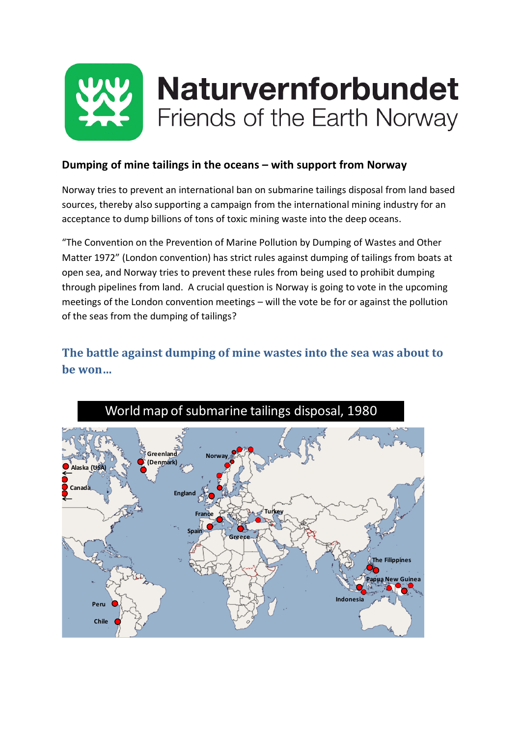

### **Dumping of mine tailings in the oceans – with support from Norway**

Norway tries to prevent an international ban on submarine tailings disposal from land based sources, thereby also supporting a campaign from the international mining industry for an acceptance to dump billions of tons of toxic mining waste into the deep oceans.

"The Convention on the Prevention of Marine Pollution by Dumping of Wastes and Other Matter 1972" (London convention) has strict rules against dumping of tailings from boats at open sea, and Norway tries to prevent these rules from being used to prohibit dumping through pipelines from land. A crucial question is Norway is going to vote in the upcoming meetings of the London convention meetings – will the vote be for or against the pollution of the seas from the dumping of tailings?

## **The battle against dumping of mine wastes into the sea was about to be won…**

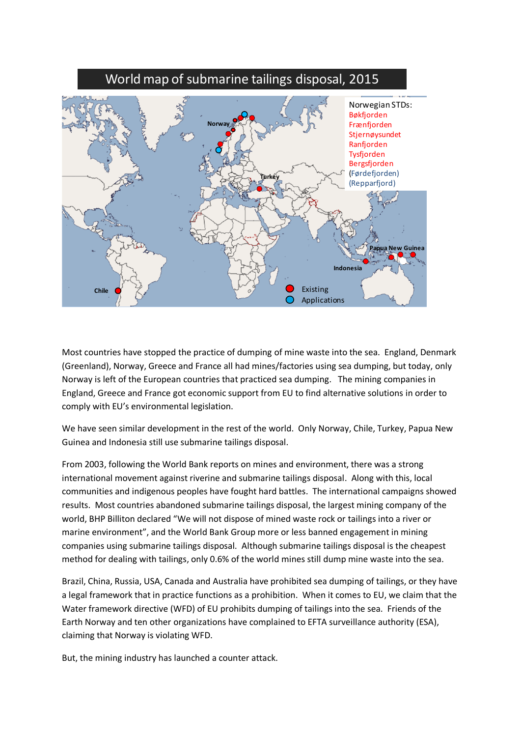

Most countries have stopped the practice of dumping of mine waste into the sea. England, Denmark (Greenland), Norway, Greece and France all had mines/factories using sea dumping, but today, only Norway is left of the European countries that practiced sea dumping. The mining companies in England, Greece and France got economic support from EU to find alternative solutions in order to comply with EU's environmental legislation.

We have seen similar development in the rest of the world. Only Norway, Chile, Turkey, Papua New Guinea and Indonesia still use submarine tailings disposal.

From 2003, following the World Bank reports on mines and environment, there was a strong international movement against riverine and submarine tailings disposal. Along with this, local communities and indigenous peoples have fought hard battles. The international campaigns showed results. Most countries abandoned submarine tailings disposal, the largest mining company of the world, BHP Billiton declared "We will not dispose of mined waste rock or tailings into a river or marine environment", and the World Bank Group more or less banned engagement in mining companies using submarine tailings disposal. Although submarine tailings disposal is the cheapest method for dealing with tailings, only 0.6% of the world mines still dump mine waste into the sea.

Brazil, China, Russia, USA, Canada and Australia have prohibited sea dumping of tailings, or they have a legal framework that in practice functions as a prohibition. When it comes to EU, we claim that the Water framework directive (WFD) of EU prohibits dumping of tailings into the sea. Friends of the Earth Norway and ten other organizations have complained to EFTA surveillance authority (ESA), claiming that Norway is violating WFD.

But, the mining industry has launched a counter attack.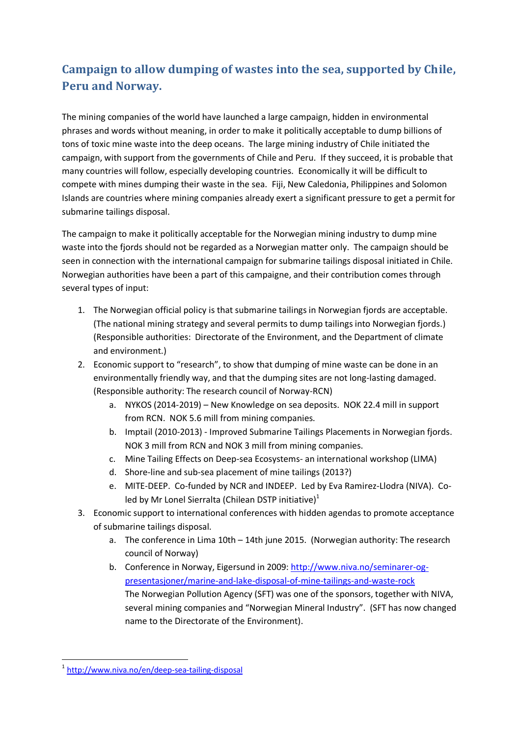# **Campaign to allow dumping of wastes into the sea, supported by Chile, Peru and Norway.**

The mining companies of the world have launched a large campaign, hidden in environmental phrases and words without meaning, in order to make it politically acceptable to dump billions of tons of toxic mine waste into the deep oceans. The large mining industry of Chile initiated the campaign, with support from the governments of Chile and Peru. If they succeed, it is probable that many countries will follow, especially developing countries. Economically it will be difficult to compete with mines dumping their waste in the sea. Fiji, New Caledonia, Philippines and Solomon Islands are countries where mining companies already exert a significant pressure to get a permit for submarine tailings disposal.

The campaign to make it politically acceptable for the Norwegian mining industry to dump mine waste into the fjords should not be regarded as a Norwegian matter only. The campaign should be seen in connection with the international campaign for submarine tailings disposal initiated in Chile. Norwegian authorities have been a part of this campaigne, and their contribution comes through several types of input:

- 1. The Norwegian official policy is that submarine tailings in Norwegian fjords are acceptable. (The national mining strategy and several permits to dump tailings into Norwegian fjords.) (Responsible authorities: Directorate of the Environment, and the Department of climate and environment.)
- 2. Economic support to "research", to show that dumping of mine waste can be done in an environmentally friendly way, and that the dumping sites are not long-lasting damaged. (Responsible authority: The research council of Norway-RCN)
	- a. NYKOS (2014-2019) New Knowledge on sea deposits. NOK 22.4 mill in support from RCN. NOK 5.6 mill from mining companies.
	- b. Imptail (2010-2013) Improved Submarine Tailings Placements in Norwegian fjords. NOK 3 mill from RCN and NOK 3 mill from mining companies.
	- c. Mine Tailing Effects on Deep-sea Ecosystems- an international workshop (LIMA)
	- d. Shore-line and sub-sea placement of mine tailings (2013?)
	- e. MITE-DEEP. Co-funded by NCR and INDEEP. Led by Eva Ramirez-Llodra (NIVA). Coled by Mr Lonel Sierralta (Chilean DSTP initiative) $1$
- 3. Economic support to international conferences with hidden agendas to promote acceptance of submarine tailings disposal.
	- a. The conference in Lima 10th 14th june 2015. (Norwegian authority: The research council of Norway)
	- b. Conference in Norway, Eigersund in 2009[: http://www.niva.no/seminarer-og](http://www.niva.no/seminarer-og-presentasjoner/marine-and-lake-disposal-of-mine-tailings-and-waste-rock)[presentasjoner/marine-and-lake-disposal-of-mine-tailings-and-waste-rock](http://www.niva.no/seminarer-og-presentasjoner/marine-and-lake-disposal-of-mine-tailings-and-waste-rock) The Norwegian Pollution Agency (SFT) was one of the sponsors, together with NIVA, several mining companies and "Norwegian Mineral Industry". (SFT has now changed name to the Directorate of the Environment).

<sup>1</sup> <sup>1</sup> <http://www.niva.no/en/deep-sea-tailing-disposal>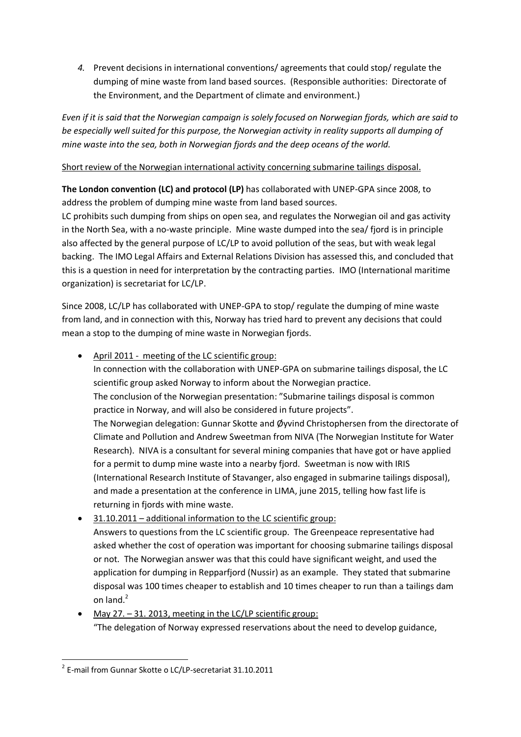*4.* Prevent decisions in international conventions/ agreements that could stop/ regulate the dumping of mine waste from land based sources. (Responsible authorities: Directorate of the Environment, and the Department of climate and environment.)

*Even if it is said that the Norwegian campaign is solely focused on Norwegian fjords, which are said to be especially well suited for this purpose, the Norwegian activity in reality supports all dumping of mine waste into the sea, both in Norwegian fjords and the deep oceans of the world.* 

#### Short review of the Norwegian international activity concerning submarine tailings disposal.

**The London convention (LC) and protocol (LP)** has collaborated with UNEP-GPA since 2008, to address the problem of dumping mine waste from land based sources.

LC prohibits such dumping from ships on open sea, and regulates the Norwegian oil and gas activity in the North Sea, with a no-waste principle. Mine waste dumped into the sea/ fjord is in principle also affected by the general purpose of LC/LP to avoid pollution of the seas, but with weak legal backing. The IMO Legal Affairs and External Relations Division has assessed this, and concluded that this is a question in need for interpretation by the contracting parties. IMO (International maritime organization) is secretariat for LC/LP.

Since 2008, LC/LP has collaborated with UNEP-GPA to stop/ regulate the dumping of mine waste from land, and in connection with this, Norway has tried hard to prevent any decisions that could mean a stop to the dumping of mine waste in Norwegian fjords.

• April 2011 - meeting of the LC scientific group:

In connection with the collaboration with UNEP-GPA on submarine tailings disposal, the LC scientific group asked Norway to inform about the Norwegian practice. The conclusion of the Norwegian presentation: "Submarine tailings disposal is common practice in Norway, and will also be considered in future projects". The Norwegian delegation: Gunnar Skotte and Øyvind Christophersen from the directorate of Climate and Pollution and Andrew Sweetman from NIVA (The Norwegian Institute for Water Research). NIVA is a consultant for several mining companies that have got or have applied for a permit to dump mine waste into a nearby fjord. Sweetman is now with IRIS (International Research Institute of Stavanger, also engaged in submarine tailings disposal), and made a presentation at the conference in LIMA, june 2015, telling how fast life is returning in fjords with mine waste.

- 31.10.2011 additional information to the LC scientific group: Answers to questions from the LC scientific group. The Greenpeace representative had asked whether the cost of operation was important for choosing submarine tailings disposal or not. The Norwegian answer was that this could have significant weight, and used the application for dumping in Repparfjord (Nussir) as an example. They stated that submarine disposal was 100 times cheaper to establish and 10 times cheaper to run than a tailings dam on land. $<sup>2</sup>$ </sup>
- May 27. 31. 2013, meeting in the LC/LP scientific group: "The delegation of Norway expressed reservations about the need to develop guidance,

<sup>1</sup> 2 E-mail from Gunnar Skotte o LC/LP-secretariat 31.10.2011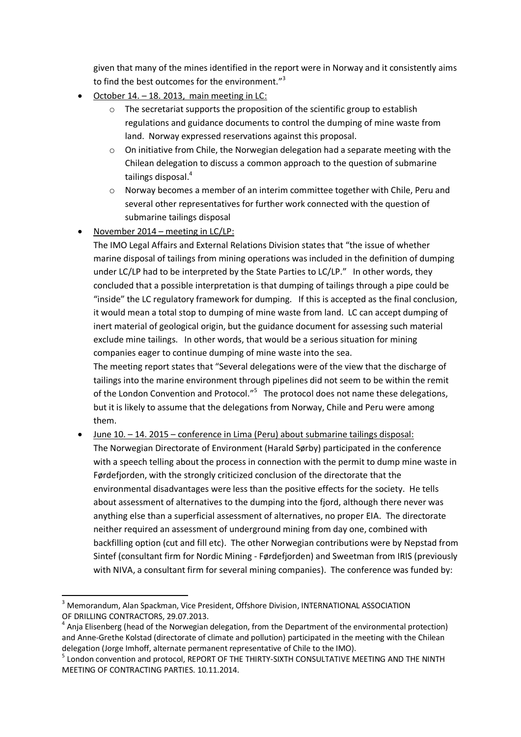given that many of the mines identified in the report were in Norway and it consistently aims to find the best outcomes for the environment."<sup>3</sup>

- October 14. 18. 2013, main meeting in LC:
	- o The secretariat supports the proposition of the scientific group to establish regulations and guidance documents to control the dumping of mine waste from land. Norway expressed reservations against this proposal.
	- $\circ$  On initiative from Chile, the Norwegian delegation had a separate meeting with the Chilean delegation to discuss a common approach to the question of submarine tailings disposal.<sup>4</sup>
	- o Norway becomes a member of an interim committee together with Chile, Peru and several other representatives for further work connected with the question of submarine tailings disposal
- November 2014 meeting in  $LC/LP$ :

The IMO Legal Affairs and External Relations Division states that "the issue of whether marine disposal of tailings from mining operations was included in the definition of dumping under LC/LP had to be interpreted by the State Parties to LC/LP." In other words, they concluded that a possible interpretation is that dumping of tailings through a pipe could be "inside" the LC regulatory framework for dumping. If this is accepted as the final conclusion, it would mean a total stop to dumping of mine waste from land. LC can accept dumping of inert material of geological origin, but the guidance document for assessing such material exclude mine tailings. In other words, that would be a serious situation for mining companies eager to continue dumping of mine waste into the sea.

The meeting report states that "Several delegations were of the view that the discharge of tailings into the marine environment through pipelines did not seem to be within the remit of the London Convention and Protocol."<sup>5</sup> The protocol does not name these delegations, but it is likely to assume that the delegations from Norway, Chile and Peru were among them.

 June 10. – 14. 2015 – conference in Lima (Peru) about submarine tailings disposal: The Norwegian Directorate of Environment (Harald Sørby) participated in the conference with a speech telling about the process in connection with the permit to dump mine waste in Førdefjorden, with the strongly criticized conclusion of the directorate that the environmental disadvantages were less than the positive effects for the society. He tells about assessment of alternatives to the dumping into the fjord, although there never was anything else than a superficial assessment of alternatives, no proper EIA. The directorate neither required an assessment of underground mining from day one, combined with backfilling option (cut and fill etc). The other Norwegian contributions were by Nepstad from Sintef (consultant firm for Nordic Mining - Førdefjorden) and Sweetman from IRIS (previously with NIVA, a consultant firm for several mining companies). The conference was funded by:

**<sup>.</sup>** <sup>3</sup> Memorandum, Alan Spackman, Vice President, Offshore Division, INTERNATIONAL ASSOCIATION OF DRILLING CONTRACTORS, 29.07.2013.

<sup>&</sup>lt;sup>4</sup> Anja Elisenberg (head of the Norwegian delegation, from the Department of the environmental protection) and Anne-Grethe Kolstad (directorate of climate and pollution) participated in the meeting with the Chilean delegation (Jorge Imhoff, alternate permanent representative of Chile to the IMO).

<sup>&</sup>lt;sup>5</sup> London convention and protocol, REPORT OF THE THIRTY-SIXTH CONSULTATIVE MEETING AND THE NINTH MEETING OF CONTRACTING PARTIES. 10.11.2014.